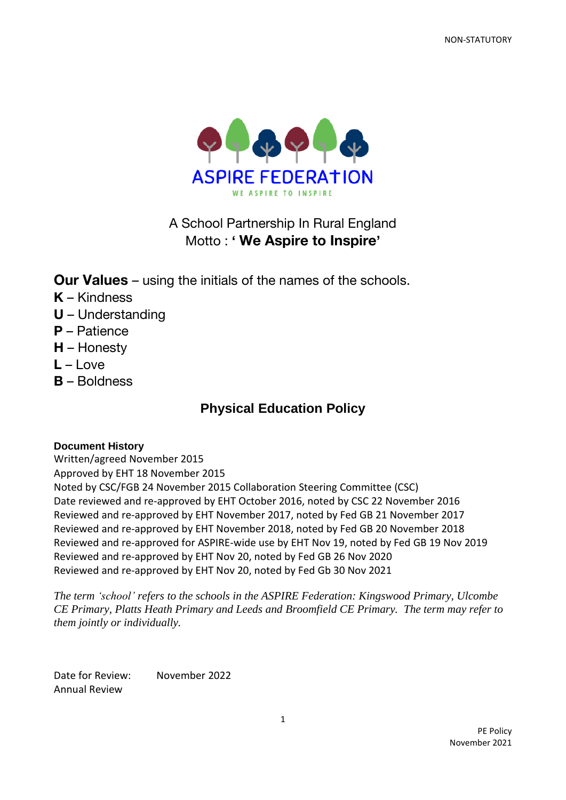

# A School Partnership In Rural England Motto : **' We Aspire to Inspire'**

**Our Values** – using the initials of the names of the schools.

- **K** Kindness
- **U** Understanding
- **P** Patience
- **H** Honesty
- $L I$  ove
- **B** Boldness

# **Physical Education Policy**

# **Document History**

Written/agreed November 2015 Approved by EHT 18 November 2015 Noted by CSC/FGB 24 November 2015 Collaboration Steering Committee (CSC) Date reviewed and re-approved by EHT October 2016, noted by CSC 22 November 2016 Reviewed and re-approved by EHT November 2017, noted by Fed GB 21 November 2017 Reviewed and re-approved by EHT November 2018, noted by Fed GB 20 November 2018 Reviewed and re-approved for ASPIRE-wide use by EHT Nov 19, noted by Fed GB 19 Nov 2019 Reviewed and re-approved by EHT Nov 20, noted by Fed GB 26 Nov 2020 Reviewed and re-approved by EHT Nov 20, noted by Fed Gb 30 Nov 2021

*The term 'school' refers to the schools in the ASPIRE Federation: Kingswood Primary, Ulcombe CE Primary, Platts Heath Primary and Leeds and Broomfield CE Primary. The term may refer to them jointly or individually.*

Date for Review: November 2022 Annual Review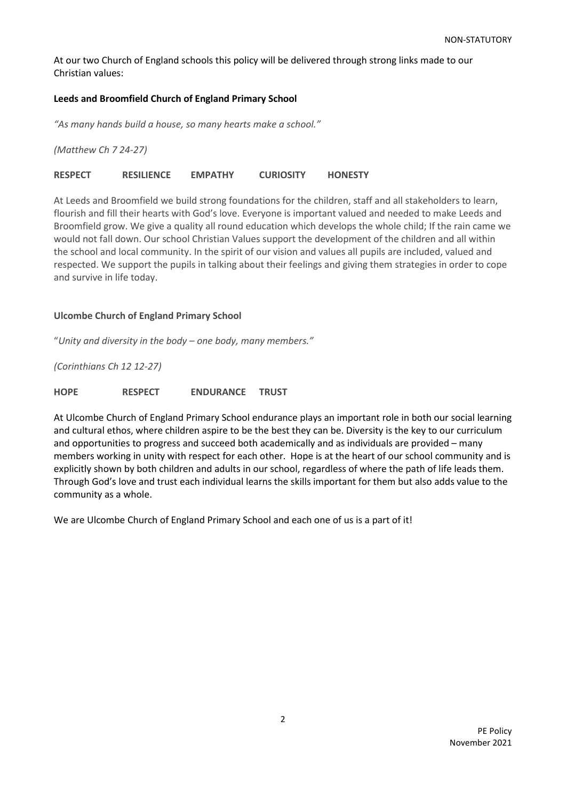At our two Church of England schools this policy will be delivered through strong links made to our Christian values:

#### **Leeds and Broomfield Church of England Primary School**

*"As many hands build a house, so many hearts make a school."*

*(Matthew Ch 7 24-27)*

#### **RESPECT RESILIENCE EMPATHY CURIOSITY HONESTY**

At Leeds and Broomfield we build strong foundations for the children, staff and all stakeholders to learn, flourish and fill their hearts with God's love. Everyone is important valued and needed to make Leeds and Broomfield grow. We give a quality all round education which develops the whole child; If the rain came we would not fall down. Our school Christian Values support the development of the children and all within the school and local community. In the spirit of our vision and values all pupils are included, valued and respected. We support the pupils in talking about their feelings and giving them strategies in order to cope and survive in life today.

#### **Ulcombe Church of England Primary School**

"*Unity and diversity in the body – one body, many members."*

*(Corinthians Ch 12 12-27)*

**HOPE RESPECT ENDURANCE TRUST**

At Ulcombe Church of England Primary School endurance plays an important role in both our social learning and cultural ethos, where children aspire to be the best they can be. Diversity is the key to our curriculum and opportunities to progress and succeed both academically and as individuals are provided – many members working in unity with respect for each other. Hope is at the heart of our school community and is explicitly shown by both children and adults in our school, regardless of where the path of life leads them. Through God's love and trust each individual learns the skills important for them but also adds value to the community as a whole.

We are Ulcombe Church of England Primary School and each one of us is a part of it!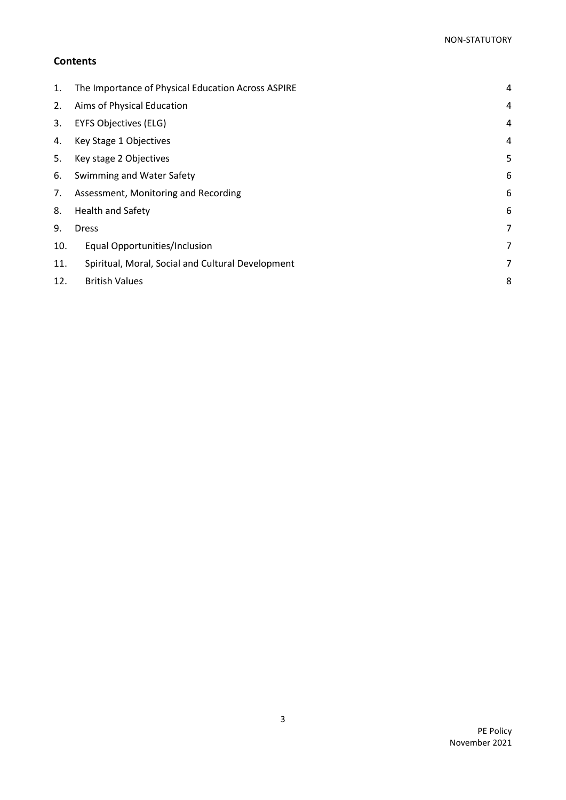# **Contents**

| 1.  | The Importance of Physical Education Across ASPIRE | 4 |
|-----|----------------------------------------------------|---|
| 2.  | Aims of Physical Education                         | 4 |
| 3.  | <b>EYFS Objectives (ELG)</b>                       | 4 |
| 4.  | Key Stage 1 Objectives                             | 4 |
| 5.  | Key stage 2 Objectives                             | 5 |
| 6.  | Swimming and Water Safety                          | 6 |
| 7.  | Assessment, Monitoring and Recording               | 6 |
| 8.  | Health and Safety                                  | 6 |
| 9.  | <b>Dress</b>                                       | 7 |
| 10. | Equal Opportunities/Inclusion                      | 7 |
| 11. | Spiritual, Moral, Social and Cultural Development  | 7 |
| 12. | <b>British Values</b>                              | 8 |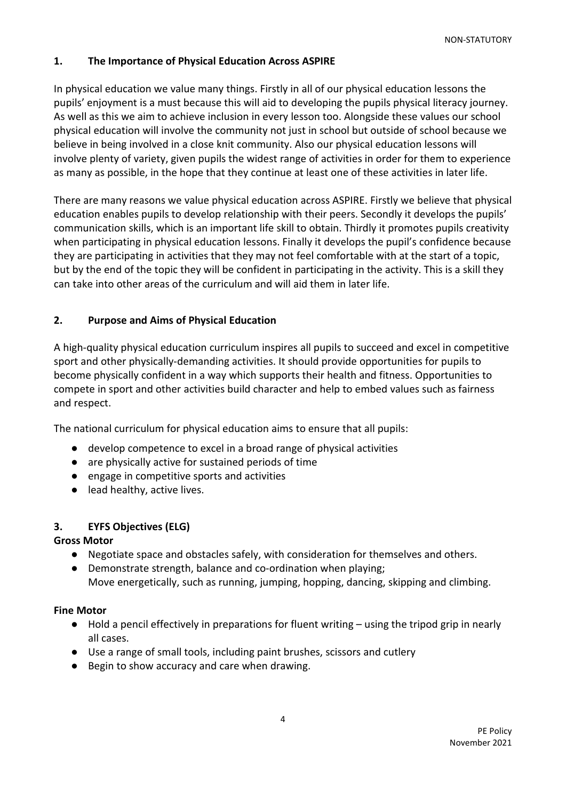# <span id="page-3-0"></span>**1. The Importance of Physical Education Across ASPIRE**

In physical education we value many things. Firstly in all of our physical education lessons the pupils' enjoyment is a must because this will aid to developing the pupils physical literacy journey. As well as this we aim to achieve inclusion in every lesson too. Alongside these values our school physical education will involve the community not just in school but outside of school because we believe in being involved in a close knit community. Also our physical education lessons will involve plenty of variety, given pupils the widest range of activities in order for them to experience as many as possible, in the hope that they continue at least one of these activities in later life.

There are many reasons we value physical education across ASPIRE. Firstly we believe that physical education enables pupils to develop relationship with their peers. Secondly it develops the pupils' communication skills, which is an important life skill to obtain. Thirdly it promotes pupils creativity when participating in physical education lessons. Finally it develops the pupil's confidence because they are participating in activities that they may not feel comfortable with at the start of a topic, but by the end of the topic they will be confident in participating in the activity. This is a skill they can take into other areas of the curriculum and will aid them in later life.

# <span id="page-3-2"></span><span id="page-3-1"></span>**2. Purpose and Aims of Physical Education**

A high-quality physical education curriculum inspires all pupils to succeed and excel in competitive sport and other physically-demanding activities. It should provide opportunities for pupils to become physically confident in a way which supports their health and fitness. Opportunities to compete in sport and other activities build character and help to embed values such as fairness and respect.

The national curriculum for physical education aims to ensure that all pupils:

- develop competence to excel in a broad range of physical activities
- are physically active for sustained periods of time
- engage in competitive sports and activities
- lead healthy, active lives.

### **3. EYFS Objectives (ELG)**

### <span id="page-3-3"></span>**Gross Motor**

- Negotiate space and obstacles safely, with consideration for themselves and others.
- Demonstrate strength, balance and co-ordination when playing; Move energetically, such as running, jumping, hopping, dancing, skipping and climbing.

### **Fine Motor**

- Hold a pencil effectively in preparations for fluent writing using the tripod grip in nearly all cases.
- Use a range of small tools, including paint brushes, scissors and cutlery
- Begin to show accuracy and care when drawing.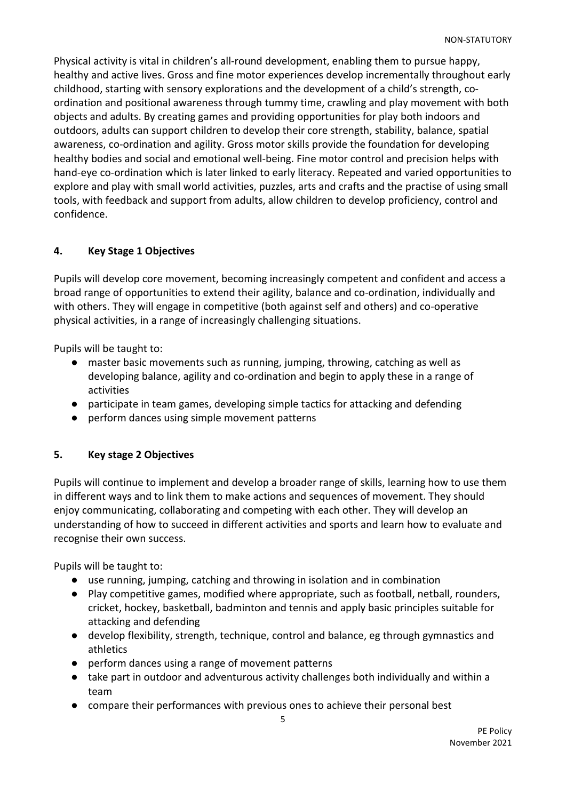Physical activity is vital in children's all-round development, enabling them to pursue happy, healthy and active lives. Gross and fine motor experiences develop incrementally throughout early childhood, starting with sensory explorations and the development of a child's strength, coordination and positional awareness through tummy time, crawling and play movement with both objects and adults. By creating games and providing opportunities for play both indoors and outdoors, adults can support children to develop their core strength, stability, balance, spatial awareness, co-ordination and agility. Gross motor skills provide the foundation for developing healthy bodies and social and emotional well-being. Fine motor control and precision helps with hand-eye co-ordination which is later linked to early literacy. Repeated and varied opportunities to explore and play with small world activities, puzzles, arts and crafts and the practise of using small tools, with feedback and support from adults, allow children to develop proficiency, control and confidence.

# **4. Key Stage 1 Objectives**

Pupils will develop core movement, becoming increasingly competent and confident and access a broad range of opportunities to extend their agility, balance and co-ordination, individually and with others. They will engage in competitive (both against self and others) and co-operative physical activities, in a range of increasingly challenging situations.

Pupils will be taught to:

- master basic movements such as running, jumping, throwing, catching as well as developing balance, agility and co-ordination and begin to apply these in a range of activities
- participate in team games, developing simple tactics for attacking and defending
- perform dances using simple movement patterns

# <span id="page-4-0"></span>**5. Key stage 2 Objectives**

Pupils will continue to implement and develop a broader range of skills, learning how to use them in different ways and to link them to make actions and sequences of movement. They should enjoy communicating, collaborating and competing with each other. They will develop an understanding of how to succeed in different activities and sports and learn how to evaluate and recognise their own success.

Pupils will be taught to:

- use running, jumping, catching and throwing in isolation and in combination
- Play competitive games, modified where appropriate, such as football, netball, rounders, cricket, hockey, basketball, badminton and tennis and apply basic principles suitable for attacking and defending
- develop flexibility, strength, technique, control and balance, eg through gymnastics and athletics
- perform dances using a range of movement patterns
- take part in outdoor and adventurous activity challenges both individually and within a team
- compare their performances with previous ones to achieve their personal best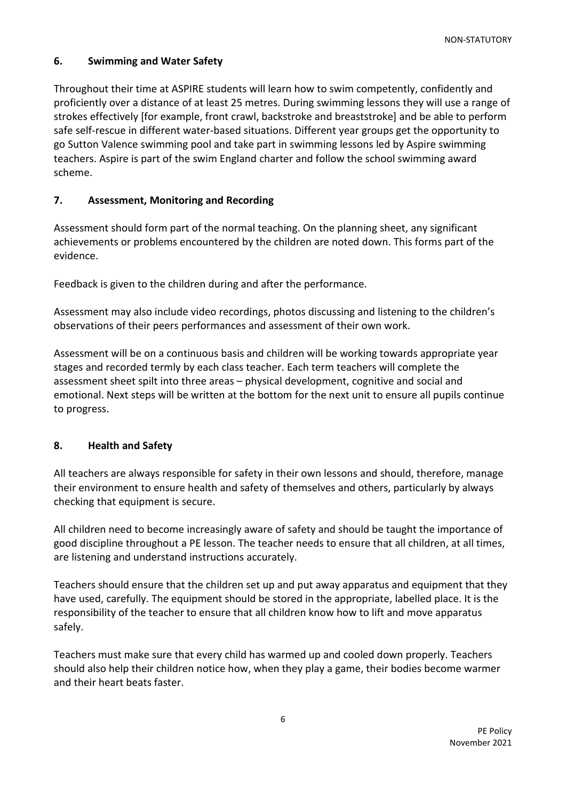# <span id="page-5-0"></span>**6. Swimming and Water Safety**

Throughout their time at ASPIRE students will learn how to swim competently, confidently and proficiently over a distance of at least 25 metres. During swimming lessons they will use a range of strokes effectively [for example, front crawl, backstroke and breaststroke] and be able to perform safe self-rescue in different water-based situations. Different year groups get the opportunity to go Sutton Valence swimming pool and take part in swimming lessons led by Aspire swimming teachers. Aspire is part of the swim England charter and follow the school swimming award scheme.

# **7. Assessment, Monitoring and Recording**

Assessment should form part of the normal teaching. On the planning sheet, any significant achievements or problems encountered by the children are noted down. This forms part of the evidence.

Feedback is given to the children during and after the performance.

Assessment may also include video recordings, photos discussing and listening to the children's observations of their peers performances and assessment of their own work.

Assessment will be on a continuous basis and children will be working towards appropriate year stages and recorded termly by each class teacher. Each term teachers will complete the assessment sheet spilt into three areas – physical development, cognitive and social and emotional. Next steps will be written at the bottom for the next unit to ensure all pupils continue to progress.

### <span id="page-5-1"></span>**8. Health and Safety**

All teachers are always responsible for safety in their own lessons and should, therefore, manage their environment to ensure health and safety of themselves and others, particularly by always checking that equipment is secure.

All children need to become increasingly aware of safety and should be taught the importance of good discipline throughout a PE lesson. The teacher needs to ensure that all children, at all times, are listening and understand instructions accurately.

Teachers should ensure that the children set up and put away apparatus and equipment that they have used, carefully. The equipment should be stored in the appropriate, labelled place. It is the responsibility of the teacher to ensure that all children know how to lift and move apparatus safely.

Teachers must make sure that every child has warmed up and cooled down properly. Teachers should also help their children notice how, when they play a game, their bodies become warmer and their heart beats faster.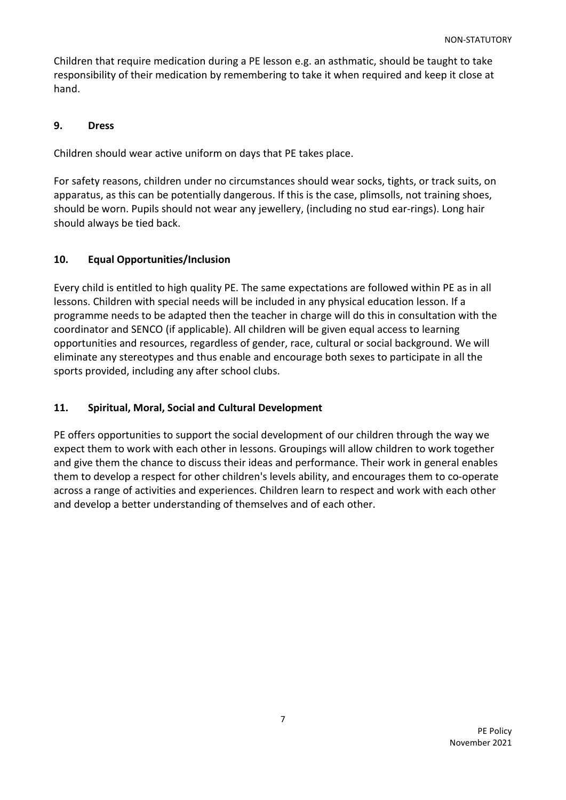Children that require medication during a PE lesson e.g. an asthmatic, should be taught to take responsibility of their medication by remembering to take it when required and keep it close at hand.

# <span id="page-6-0"></span>**9. Dress**

Children should wear active uniform on days that PE takes place.

For safety reasons, children under no circumstances should wear socks, tights, or track suits, on apparatus, as this can be potentially dangerous. If this is the case, plimsolls, not training shoes, should be worn. Pupils should not wear any jewellery, (including no stud ear-rings). Long hair should always be tied back.

# <span id="page-6-1"></span>**10. Equal Opportunities/Inclusion**

Every child is entitled to high quality PE. The same expectations are followed within PE as in all lessons. Children with special needs will be included in any physical education lesson. If a programme needs to be adapted then the teacher in charge will do this in consultation with the coordinator and SENCO (if applicable). All children will be given equal access to learning opportunities and resources, regardless of gender, race, cultural or social background. We will eliminate any stereotypes and thus enable and encourage both sexes to participate in all the sports provided, including any after school clubs.

# <span id="page-6-2"></span>**11. Spiritual, Moral, Social and Cultural Development**

<span id="page-6-3"></span>PE offers opportunities to support the social development of our children through the way we expect them to work with each other in lessons. Groupings will allow children to work together and give them the chance to discuss their ideas and performance. Their work in general enables them to develop a respect for other children's levels ability, and encourages them to co-operate across a range of activities and experiences. Children learn to respect and work with each other and develop a better understanding of themselves and of each other.